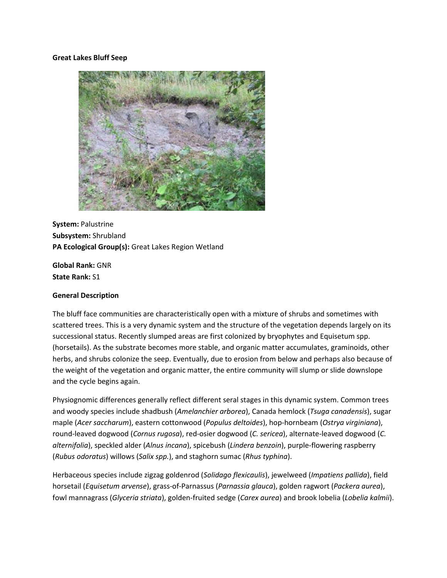### **Great Lakes Bluff Seep**



**System:** Palustrine **Subsystem:** Shrubland **PA Ecological Group(s):** Great Lakes Region Wetland

**Global Rank:** GNR **State Rank:** S1

#### **General Description**

The bluff face communities are characteristically open with a mixture of shrubs and sometimes with scattered trees. This is a very dynamic system and the structure of the vegetation depends largely on its successional status. Recently slumped areas are first colonized by bryophytes and Equisetum spp. (horsetails). As the substrate becomes more stable, and organic matter accumulates, graminoids, other herbs, and shrubs colonize the seep. Eventually, due to erosion from below and perhaps also because of the weight of the vegetation and organic matter, the entire community will slump or slide downslope and the cycle begins again.

Physiognomic differences generally reflect different seral stages in this dynamic system. Common trees and woody species include shadbush (*Amelanchier arborea*), Canada hemlock (*Tsuga canadensis*), sugar maple (*Acer saccharum*), eastern cottonwood (*Populus deltoides*), hop-hornbeam (*Ostrya virginiana*), round-leaved dogwood (*Cornus rugosa*), red-osier dogwood (*C. sericea*), alternate-leaved dogwood (*C. alternifolia*), speckled alder (*Alnus incana*), spicebush (*Lindera benzoin*), purple-flowering raspberry (*Rubus odoratus*) willows (*Salix spp.*), and staghorn sumac (*Rhus typhina*).

Herbaceous species include zigzag goldenrod (*Solidago flexicaulis*), jewelweed (*Impatiens pallida*), field horsetail (*Equisetum arvense*), grass-of-Parnassus (*Parnassia glauca*), golden ragwort (*Packera aurea*), fowl mannagrass (*Glyceria striata*), golden-fruited sedge (*Carex aurea*) and brook lobelia (*Lobelia kalmii*).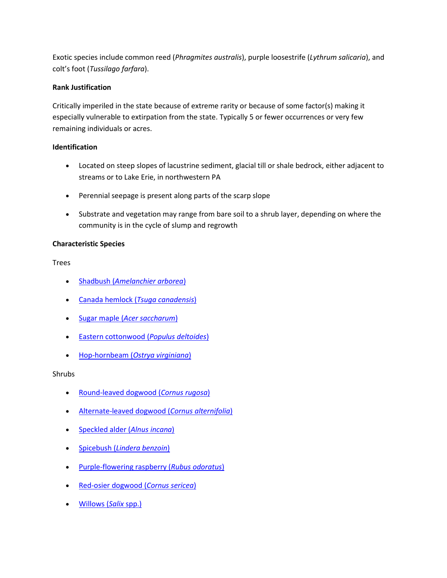Exotic species include common reed (*Phragmites australis*), purple loosestrife (*Lythrum salicaria*), and colt's foot (*Tussilago farfara*).

# **Rank Justification**

Critically imperiled in the state because of extreme rarity or because of some factor(s) making it especially vulnerable to extirpation from the state. Typically 5 or fewer occurrences or very few remaining individuals or acres.

# **Identification**

- Located on steep slopes of lacustrine sediment, glacial till or shale bedrock, either adjacent to streams or to Lake Erie, in northwestern PA
- Perennial seepage is present along parts of the scarp slope
- Substrate and vegetation may range from bare soil to a shrub layer, depending on where the community is in the cycle of slump and regrowth

# **Characteristic Species**

Trees

- Shadbush (*[Amelanchier arborea](http://www.natureserve.org/explorer/servlet/NatureServe?searchName=Amelanchier+arborea)*)
- [Canada hemlock \(](http://www.natureserve.org/explorer/servlet/NatureServe?searchName=Tsuga+canadensis)*Tsuga canadensis*)
- Sugar maple (*[Acer saccharum](http://www.natureserve.org/explorer/servlet/NatureServe?searchName=Acer+saccharum)*)
- [Eastern cottonwood \(](http://www.natureserve.org/explorer/servlet/NatureServe?searchName=Populus+deltoides)*Populus deltoides*)
- Hop-hornbeam (*[Ostrya virginiana](http://www.natureserve.org/explorer/servlet/NatureServe?searchName=Ostrya+virginiana)*)

Shrubs

- [Round-leaved dogwood \(](http://www.natureserve.org/explorer/servlet/NatureServe?searchName=Cornus+rugosa)*Cornus rugosa*)
- [Alternate-leaved dogwood \(](http://www.natureserve.org/explorer/servlet/NatureServe?searchName=Cornus+alternifolia)*Cornus alternifolia*)
- [Speckled alder \(](http://www.natureserve.org/explorer/servlet/NatureServe?searchName=Alnus+incana+ssp.+rugosa)*Alnus incana*)
- Spicebush (*[Lindera benzoin](http://www.natureserve.org/explorer/servlet/NatureServe?searchName=Lindera+benzoin)*)
- [Purple-flowering raspberry \(](http://www.natureserve.org/explorer/servlet/NatureServe?searchName=Rubus+odoratus)*Rubus odoratus*)
- [Red-osier dogwood \(](http://www.natureserve.org/explorer/servlet/NatureServe?searchName=Cornus+sericea)*Cornus sericea*)
- [Willows \(](http://www.natureserve.org/explorer/servlet/NatureServe?searchSciOrCommonName=salix)*Salix* spp.)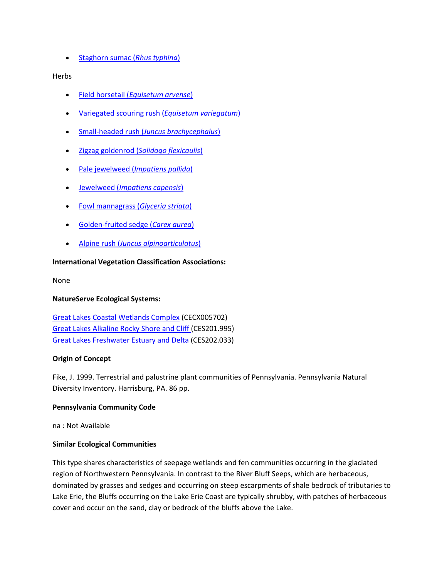[Staghorn sumac \(](http://www.natureserve.org/explorer/servlet/NatureServe?searchName=Rhus+typhina)*Rhus typhina*)

## Herbs

- Field horsetail (*[Equisetum arvense](http://www.natureserve.org/explorer/servlet/NatureServe?searchName=Equisetum+arvense)*)
- [Variegated scouring rush \(](http://www.natureserve.org/explorer/servlet/NatureServe?searchName=Equisetum+variegatum)*Equisetum variegatum*)
- Small-headed rush (*[Juncus brachycephalus](http://www.natureserve.org/explorer/servlet/NatureServe?searchName=Juncus+brachycephalus)*)
- Zigzag goldenrod (*[Solidago flexicaulis](http://www.natureserve.org/explorer/servlet/NatureServe?searchName=Solidago+flexicaulis)*)
- Pale jewelweed (*[Impatiens pallida](http://www.natureserve.org/explorer/servlet/NatureServe?searchName=Impatiens+pallida)*)
- Jewelweed (*[Impatiens capensis](http://www.natureserve.org/explorer/servlet/NatureServe?searchName=Impatiens+capensis)*)
- [Fowl mannagrass \(](http://www.natureserve.org/explorer/servlet/NatureServe?searchName=Glyceria+striata)*Glyceria striata*)
- [Golden-fruited sedge \(](http://www.natureserve.org/explorer/servlet/NatureServe?searchName=Carex+aurea)*Carex aurea*)
- Alpine rush (*[Juncus alpinoarticulatus](http://www.natureserve.org/explorer/servlet/NatureServe?searchName=Juncus+alpinoarticulatus+ssp.+nodulosus)*)

## **International Vegetation Classification Associations:**

None

## **NatureServe Ecological Systems:**

Great Lakes Coastal Wetlands Complex (CECX005702) [Great Lakes Alkaline Rocky Shore and Cliff \(](http://www.natureserve.org/explorer/servlet/NatureServe?searchSystemUid=ELEMENT_GLOBAL.2.722710)CES201.995) [Great Lakes Freshwater Estuary and Delta \(](http://www.natureserve.org/explorer/servlet/NatureServe?searchSystemUid=ELEMENT_GLOBAL.2.722674)CES202.033)

## **Origin of Concept**

Fike, J. 1999. Terrestrial and palustrine plant communities of Pennsylvania. Pennsylvania Natural Diversity Inventory. Harrisburg, PA. 86 pp.

## **Pennsylvania Community Code**

na : Not Available

## **Similar Ecological Communities**

This type shares characteristics of seepage wetlands and fen communities occurring in the glaciated region of Northwestern Pennsylvania. In contrast to the River Bluff Seeps, which are herbaceous, dominated by grasses and sedges and occurring on steep escarpments of shale bedrock of tributaries to Lake Erie, the Bluffs occurring on the Lake Erie Coast are typically shrubby, with patches of herbaceous cover and occur on the sand, clay or bedrock of the bluffs above the Lake.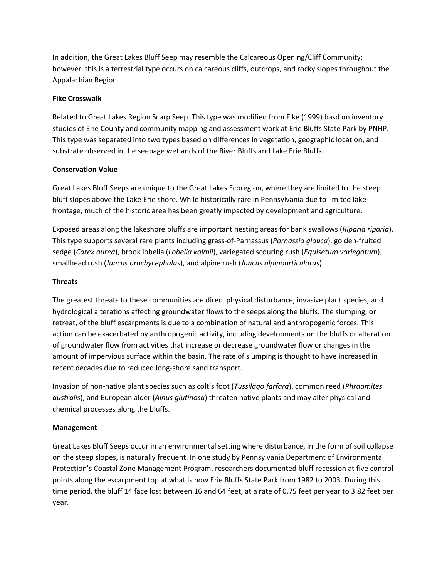In addition, the Great Lakes Bluff Seep may resemble the Calcareous Opening/Cliff Community; however, this is a terrestrial type occurs on calcareous cliffs, outcrops, and rocky slopes throughout the Appalachian Region.

## **Fike Crosswalk**

Related to Great Lakes Region Scarp Seep. This type was modified from Fike (1999) basd on inventory studies of Erie County and community mapping and assessment work at Erie Bluffs State Park by PNHP. This type was separated into two types based on differences in vegetation, geographic location, and substrate observed in the seepage wetlands of the River Bluffs and Lake Erie Bluffs.

# **Conservation Value**

Great Lakes Bluff Seeps are unique to the Great Lakes Ecoregion, where they are limited to the steep bluff slopes above the Lake Erie shore. While historically rare in Pennsylvania due to limited lake frontage, much of the historic area has been greatly impacted by development and agriculture.

Exposed areas along the lakeshore bluffs are important nesting areas for bank swallows (*Riparia riparia*). This type supports several rare plants including grass-of-Parnassus (*Parnassia glauca*), golden-fruited sedge (*Carex aurea*), brook lobelia (*Lobelia kalmii*), variegated scouring rush (*Equisetum variegatum*), smallhead rush (*Juncus brachycephalus*), and alpine rush (*Juncus alpinoarticulatus*).

# **Threats**

The greatest threats to these communities are direct physical disturbance, invasive plant species, and hydrological alterations affecting groundwater flows to the seeps along the bluffs. The slumping, or retreat, of the bluff escarpments is due to a combination of natural and anthropogenic forces. This action can be exacerbated by anthropogenic activity, including developments on the bluffs or alteration of groundwater flow from activities that increase or decrease groundwater flow or changes in the amount of impervious surface within the basin. The rate of slumping is thought to have increased in recent decades due to reduced long-shore sand transport.

Invasion of non-native plant species such as colt's foot (*Tussilago farfara*), common reed (*Phragmites australis*), and European alder (*Alnus glutinosa*) threaten native plants and may alter physical and chemical processes along the bluffs.

## **Management**

Great Lakes Bluff Seeps occur in an environmental setting where disturbance, in the form of soil collapse on the steep slopes, is naturally frequent. In one study by Pennsylvania Department of Environmental Protection's Coastal Zone Management Program, researchers documented bluff recession at five control points along the escarpment top at what is now Erie Bluffs State Park from 1982 to 2003. During this time period, the bluff 14 face lost between 16 and 64 feet, at a rate of 0.75 feet per year to 3.82 feet per year.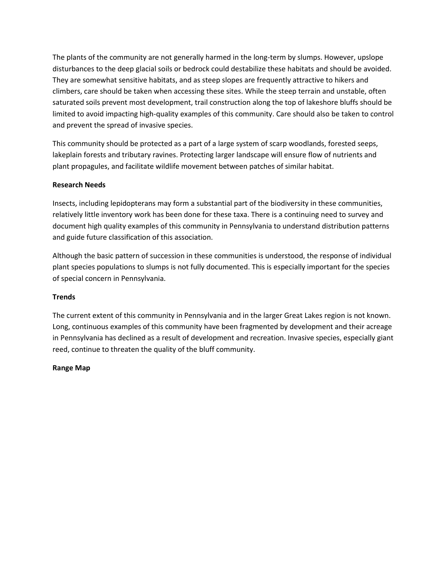The plants of the community are not generally harmed in the long-term by slumps. However, upslope disturbances to the deep glacial soils or bedrock could destabilize these habitats and should be avoided. They are somewhat sensitive habitats, and as steep slopes are frequently attractive to hikers and climbers, care should be taken when accessing these sites. While the steep terrain and unstable, often saturated soils prevent most development, trail construction along the top of lakeshore bluffs should be limited to avoid impacting high-quality examples of this community. Care should also be taken to control and prevent the spread of invasive species.

This community should be protected as a part of a large system of scarp woodlands, forested seeps, lakeplain forests and tributary ravines. Protecting larger landscape will ensure flow of nutrients and plant propagules, and facilitate wildlife movement between patches of similar habitat.

# **Research Needs**

Insects, including lepidopterans may form a substantial part of the biodiversity in these communities, relatively little inventory work has been done for these taxa. There is a continuing need to survey and document high quality examples of this community in Pennsylvania to understand distribution patterns and guide future classification of this association.

Although the basic pattern of succession in these communities is understood, the response of individual plant species populations to slumps is not fully documented. This is especially important for the species of special concern in Pennsylvania.

## **Trends**

The current extent of this community in Pennsylvania and in the larger Great Lakes region is not known. Long, continuous examples of this community have been fragmented by development and their acreage in Pennsylvania has declined as a result of development and recreation. Invasive species, especially giant reed, continue to threaten the quality of the bluff community.

## **Range Map**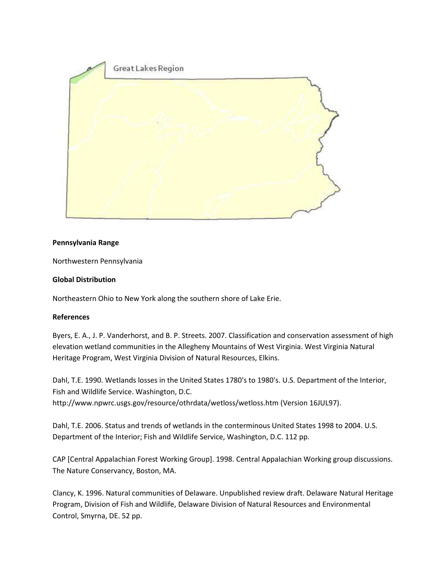

# **Pennsylvania Range**

Northwestern Pennsylvania

# **Global Distribution**

Northeastern Ohio to New York along the southern shore of Lake Erie.

## **References**

Byers, E. A., J. P. Vanderhorst, and B. P. Streets. 2007. Classification and conservation assessment of high elevation wetland communities in the Allegheny Mountains of West Virginia. West Virginia Natural Heritage Program, West Virginia Division of Natural Resources, Elkins.

Dahl, T.E. 1990. Wetlands losses in the United States 1780's to 1980's. U.S. Department of the Interior, Fish and Wildlife Service. Washington, D.C. http://www.npwrc.usgs.gov/resource/othrdata/wetloss/wetloss.htm (Version 16JUL97).

Dahl, T.E. 2006. Status and trends of wetlands in the conterminous United States 1998 to 2004. U.S. Department of the Interior; Fish and Wildlife Service, Washington, D.C. 112 pp.

CAP [Central Appalachian Forest Working Group]. 1998. Central Appalachian Working group discussions. The Nature Conservancy, Boston, MA.

Clancy, K. 1996. Natural communities of Delaware. Unpublished review draft. Delaware Natural Heritage Program, Division of Fish and Wildlife, Delaware Division of Natural Resources and Environmental Control, Smyrna, DE. 52 pp.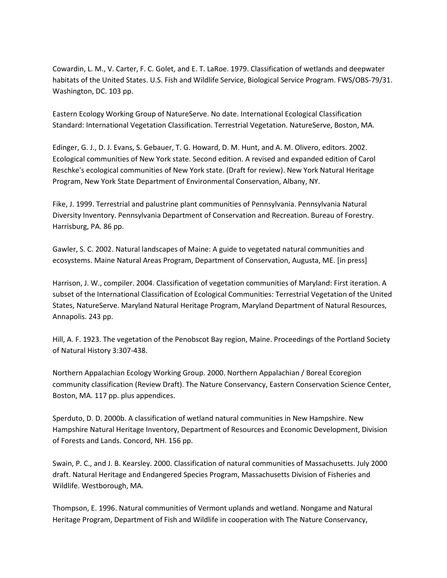Cowardin, L. M., V. Carter, F. C. Golet, and E. T. LaRoe. 1979. Classification of wetlands and deepwater habitats of the United States. U.S. Fish and Wildlife Service, Biological Service Program. FWS/OBS-79/31. Washington, DC. 103 pp.

Eastern Ecology Working Group of NatureServe. No date. International Ecological Classification Standard: International Vegetation Classification. Terrestrial Vegetation. NatureServe, Boston, MA.

Edinger, G. J., D. J. Evans, S. Gebauer, T. G. Howard, D. M. Hunt, and A. M. Olivero, editors. 2002. Ecological communities of New York state. Second edition. A revised and expanded edition of Carol Reschke's ecological communities of New York state. (Draft for review). New York Natural Heritage Program, New York State Department of Environmental Conservation, Albany, NY.

Fike, J. 1999. Terrestrial and palustrine plant communities of Pennsylvania. Pennsylvania Natural Diversity Inventory. Pennsylvania Department of Conservation and Recreation. Bureau of Forestry. Harrisburg, PA. 86 pp.

Gawler, S. C. 2002. Natural landscapes of Maine: A guide to vegetated natural communities and ecosystems. Maine Natural Areas Program, Department of Conservation, Augusta, ME. [in press]

Harrison, J. W., compiler. 2004. Classification of vegetation communities of Maryland: First iteration. A subset of the International Classification of Ecological Communities: Terrestrial Vegetation of the United States, NatureServe. Maryland Natural Heritage Program, Maryland Department of Natural Resources, Annapolis. 243 pp.

Hill, A. F. 1923. The vegetation of the Penobscot Bay region, Maine. Proceedings of the Portland Society of Natural History 3:307-438.

Northern Appalachian Ecology Working Group. 2000. Northern Appalachian / Boreal Ecoregion community classification (Review Draft). The Nature Conservancy, Eastern Conservation Science Center, Boston, MA. 117 pp. plus appendices.

Sperduto, D. D. 2000b. A classification of wetland natural communities in New Hampshire. New Hampshire Natural Heritage Inventory, Department of Resources and Economic Development, Division of Forests and Lands. Concord, NH. 156 pp.

Swain, P. C., and J. B. Kearsley. 2000. Classification of natural communities of Massachusetts. July 2000 draft. Natural Heritage and Endangered Species Program, Massachusetts Division of Fisheries and Wildlife. Westborough, MA.

Thompson, E. 1996. Natural communities of Vermont uplands and wetland. Nongame and Natural Heritage Program, Department of Fish and Wildlife in cooperation with The Nature Conservancy,